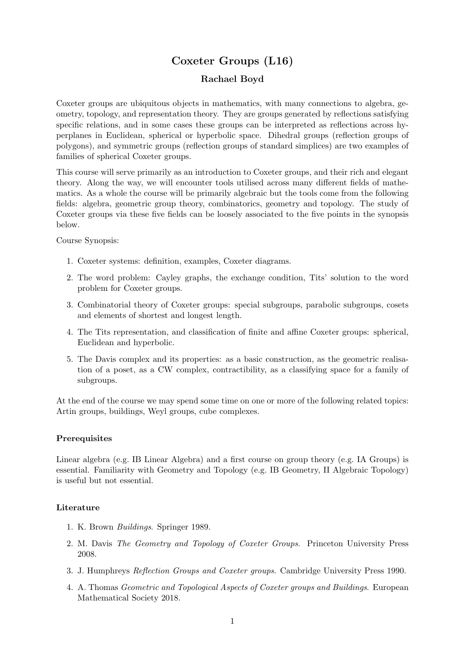# Coxeter Groups (L16)

### Rachael Boyd

Coxeter groups are ubiquitous objects in mathematics, with many connections to algebra, geometry, topology, and representation theory. They are groups generated by reflections satisfying specific relations, and in some cases these groups can be interpreted as reflections across hyperplanes in Euclidean, spherical or hyperbolic space. Dihedral groups (reflection groups of polygons), and symmetric groups (reflection groups of standard simplices) are two examples of families of spherical Coxeter groups.

This course will serve primarily as an introduction to Coxeter groups, and their rich and elegant theory. Along the way, we will encounter tools utilised across many different fields of mathematics. As a whole the course will be primarily algebraic but the tools come from the following fields: algebra, geometric group theory, combinatorics, geometry and topology. The study of Coxeter groups via these five fields can be loosely associated to the five points in the synopsis below.

Course Synopsis:

- 1. Coxeter systems: definition, examples, Coxeter diagrams.
- 2. The word problem: Cayley graphs, the exchange condition, Tits' solution to the word problem for Coxeter groups.
- 3. Combinatorial theory of Coxeter groups: special subgroups, parabolic subgroups, cosets and elements of shortest and longest length.
- 4. The Tits representation, and classification of finite and affine Coxeter groups: spherical, Euclidean and hyperbolic.
- 5. The Davis complex and its properties: as a basic construction, as the geometric realisation of a poset, as a CW complex, contractibility, as a classifying space for a family of subgroups.

At the end of the course we may spend some time on one or more of the following related topics: Artin groups, buildings, Weyl groups, cube complexes.

#### Prerequisites

Linear algebra (e.g. IB Linear Algebra) and a first course on group theory (e.g. IA Groups) is essential. Familiarity with Geometry and Topology (e.g. IB Geometry, II Algebraic Topology) is useful but not essential.

#### Literature

- 1. K. Brown Buildings. Springer 1989.
- 2. M. Davis The Geometry and Topology of Coxeter Groups. Princeton University Press 2008.
- 3. J. Humphreys Reflection Groups and Coxeter groups. Cambridge University Press 1990.
- 4. A. Thomas Geometric and Topological Aspects of Coxeter groups and Buildings. European Mathematical Society 2018.